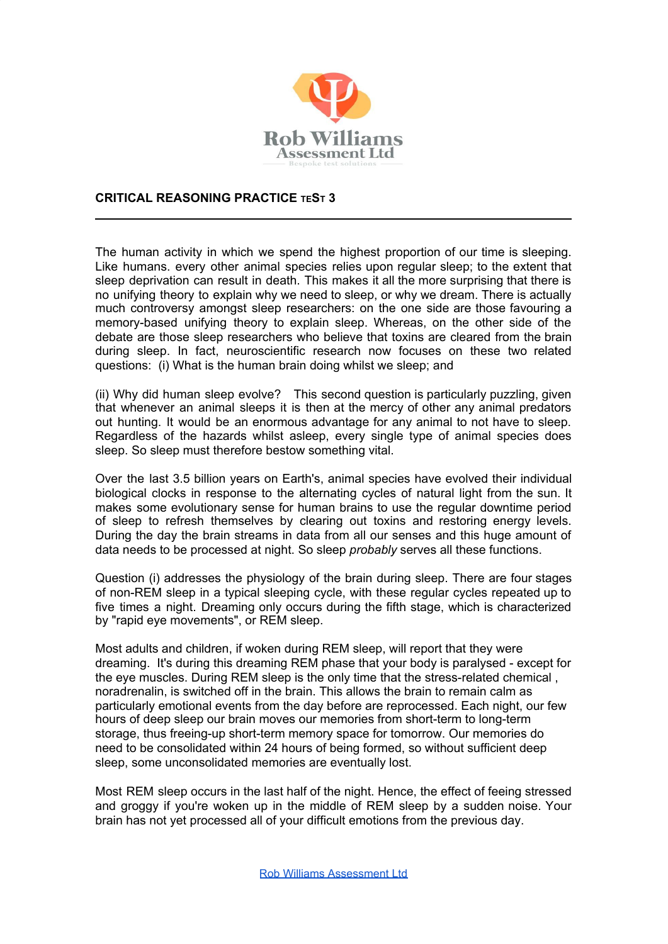

## **CRITICAL REASONING PRACTICE TES<sup>T</sup> 3**

The human activity in which we spend the highest proportion of our time is sleeping. Like humans. every other animal species relies upon regular sleep; to the extent that sleep deprivation can result in death. This makes it all the more surprising that there is no unifying theory to explain why we need to sleep, or why we dream. There is actually much controversy amongst sleep researchers: on the one side are those favouring a memory-based unifying theory to explain sleep. Whereas, on the other side of the debate are those sleep researchers who believe that toxins are cleared from the brain during sleep. In fact, neuroscientific research now focuses on these two related questions: (i) What is the human brain doing whilst we sleep; and

(ii) Why did human sleep evolve? This second question is particularly puzzling, given that whenever an animal sleeps it is then at the mercy of other any animal predators out hunting. It would be an enormous advantage for any animal to not have to sleep. Regardless of the hazards whilst asleep, every single type of animal species does sleep. So sleep must therefore bestow something vital.

Over the last 3.5 billion years on Earth's, animal species have evolved their individual biological clocks in response to the alternating cycles of natural light from the sun. It makes some evolutionary sense for human brains to use the regular downtime period of sleep to refresh themselves by clearing out toxins and restoring energy levels. During the day the brain streams in data from all our senses and this huge amount of data needs to be processed at night. So sleep *probably* serves all these functions.

Question (i) addresses the physiology of the brain during sleep. There are four stages of non-REM sleep in a typical sleeping cycle, with these regular cycles repeated up to five times a night. Dreaming only occurs during the fifth stage, which is characterized by "rapid eye movements", or REM sleep.

Most adults and children, if woken during REM sleep, will report that they were dreaming. It's during this dreaming REM phase that your body is paralysed - except for the eye muscles. During REM sleep is the only time that the stress-related chemical , noradrenalin, is switched off in the brain. This allows the brain to remain calm as particularly emotional events from the day before are reprocessed. Each night, our few hours of deep sleep our brain moves our memories from short-term to long-term storage, thus freeing-up short-term memory space for tomorrow. Our memories do need to be consolidated within 24 hours of being formed, so without sufficient deep sleep, some unconsolidated memories are eventually lost.

Most REM sleep occurs in the last half of the night. Hence, the effect of feeing stressed and groggy if you're woken up in the middle of REM sleep by a sudden noise. Your brain has not yet processed all of your difficult emotions from the previous day.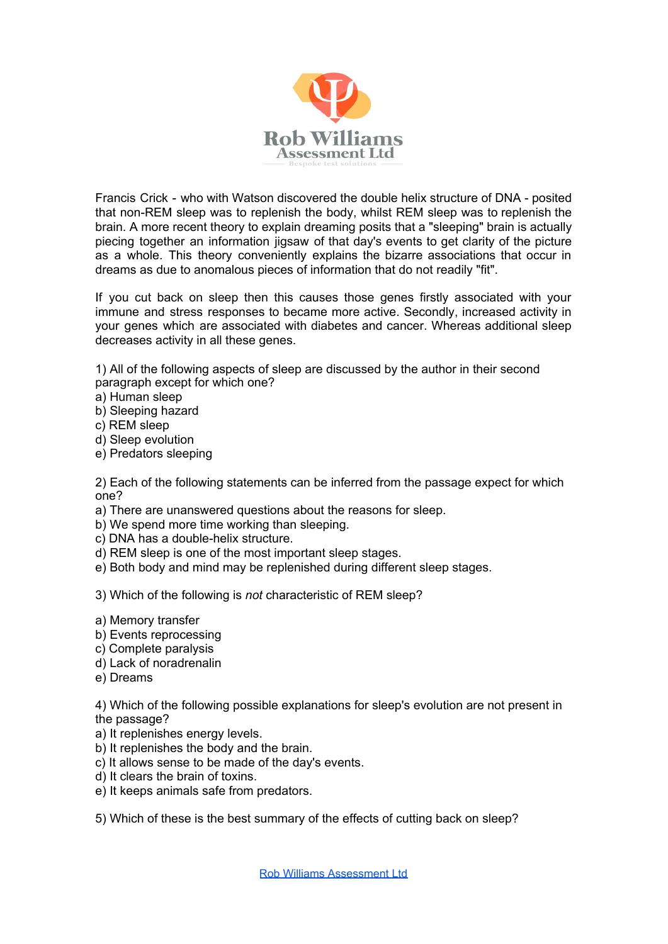

Francis Crick - who with Watson discovered the double helix structure of DNA - posited that non-REM sleep was to replenish the body, whilst REM sleep was to replenish the brain. A more recent theory to explain dreaming posits that a "sleeping" brain is actually piecing together an information jigsaw of that day's events to get clarity of the picture as a whole. This theory conveniently explains the bizarre associations that occur in dreams as due to anomalous pieces of information that do not readily "fit".

If you cut back on sleep then this causes those genes firstly associated with your immune and stress responses to became more active. Secondly, increased activity in your genes which are associated with diabetes and cancer. Whereas additional sleep decreases activity in all these genes.

1) All of the following aspects of sleep are discussed by the author in their second paragraph except for which one?

- a) Human sleep
- b) Sleeping hazard
- c) REM sleep
- d) Sleep evolution
- e) Predators sleeping

2) Each of the following statements can be inferred from the passage expect for which one?

a) There are unanswered questions about the reasons for sleep.

b) We spend more time working than sleeping.

c) DNA has a double-helix structure.

d) REM sleep is one of the most important sleep stages.

e) Both body and mind may be replenished during different sleep stages.

3) Which of the following is *not* characteristic of REM sleep?

- a) Memory transfer
- b) Events reprocessing
- c) Complete paralysis
- d) Lack of noradrenalin
- e) Dreams

4) Which of the following possible explanations for sleep's evolution are not present in the passage?

- a) It replenishes energy levels.
- b) It replenishes the body and the brain.
- c) It allows sense to be made of the day's events.
- d) It clears the brain of toxins.
- e) It keeps animals safe from predators.

5) Which of these is the best summary of the effects of cutting back on sleep?